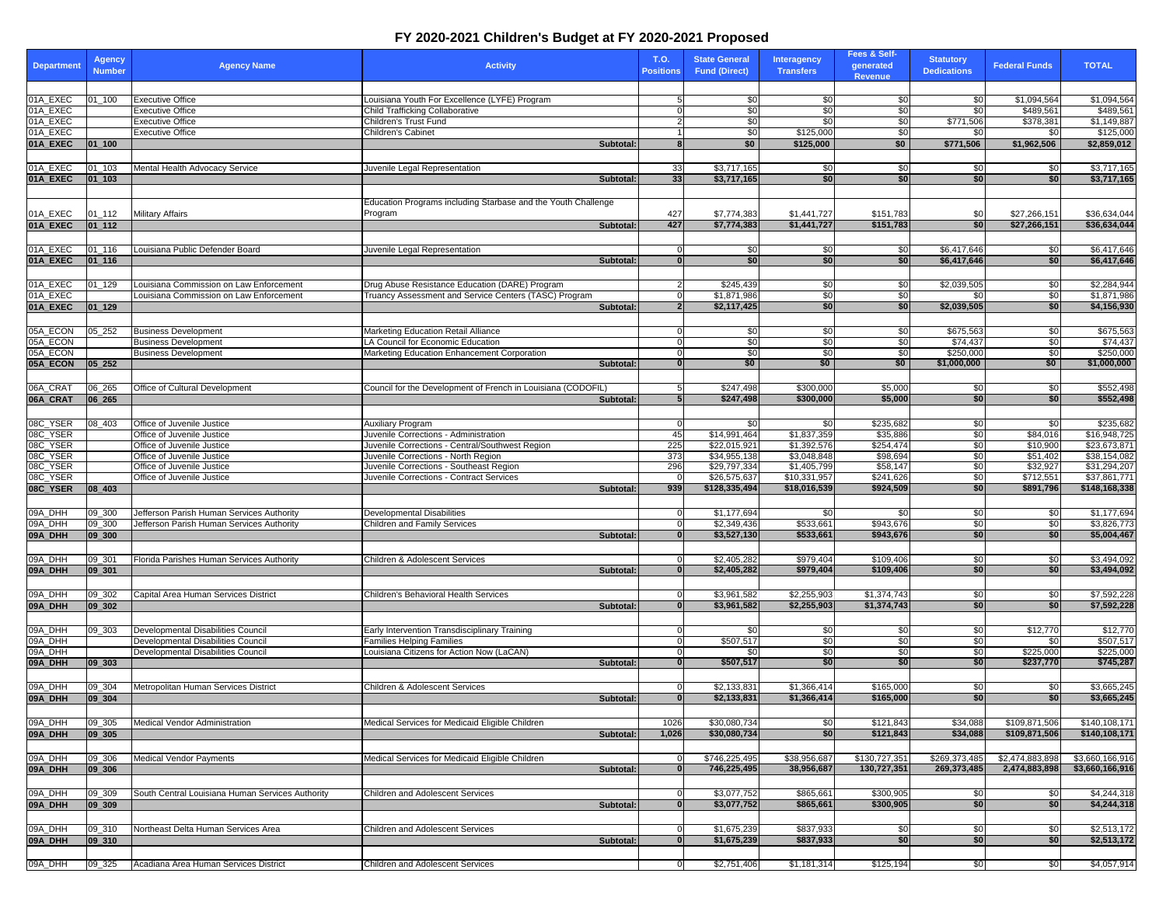## **FY 2020-2021 Children's Budget at FY 2020-2021 Proposed**

| <b>Department</b>    | Agency<br><b>Number</b> | <b>Agency Name</b>                                         | <b>Activity</b>                                                                          | T.O.<br><b>Positions</b> | <b>State General</b><br><b>Fund (Direct)</b> | <b>Interagency</b><br><b>Transfers</b> | Fees & Self-<br>generated<br><b>Revenue</b> | <b>Statutory</b><br><b>Dedications</b> | <b>Federal Funds</b>     | <b>TOTAL</b>                 |
|----------------------|-------------------------|------------------------------------------------------------|------------------------------------------------------------------------------------------|--------------------------|----------------------------------------------|----------------------------------------|---------------------------------------------|----------------------------------------|--------------------------|------------------------------|
|                      |                         |                                                            |                                                                                          |                          |                                              |                                        |                                             |                                        |                          |                              |
| 01A_EXEC<br>01A EXEC | 01 100                  | <b>Executive Office</b><br><b>Executive Office</b>         | Louisiana Youth For Excellence (LYFE) Program<br>Child Trafficking Collaborative         | 5.<br>$\Omega$           | \$0<br>\$0                                   | \$0<br>\$0                             | \$0<br>\$0                                  | \$0<br>\$0                             | \$1.094.564<br>\$489,561 | \$1,094,564<br>\$489,561     |
| 01A_EXEC             |                         | <b>Executive Office</b>                                    | Children's Trust Fund                                                                    | 2                        | \$0                                          | \$0                                    | \$0                                         | \$771,506                              | \$378,381                | \$1,149,887                  |
| 01A_EXEC             |                         | <b>Executive Office</b>                                    | <b>Children's Cabinet</b>                                                                | 1                        | \$0                                          | \$125,000                              | \$0                                         | \$0                                    | \$0                      | \$125,000                    |
| 01A_EXEC             | $01_100$                |                                                            | Subtotal:                                                                                | 8                        | \$0                                          | \$125,000                              | \$0                                         | \$771,506                              | \$1,962,506              | \$2,859,012                  |
|                      |                         |                                                            |                                                                                          |                          |                                              |                                        |                                             |                                        |                          |                              |
| 01A_EXEC<br>01A_EXEC | 01_103<br>01 103        | Mental Health Advocacy Service                             | Juvenile Legal Representation<br>Subtotal:                                               | 33<br>33                 | \$3,717,165<br>\$3,717,165                   | \$0<br>\$0                             | \$0<br>\$0                                  | \$0<br>\$0                             | \$0<br>\$0               | \$3,717,165<br>\$3,717,165   |
|                      |                         |                                                            |                                                                                          |                          |                                              |                                        |                                             |                                        |                          |                              |
|                      |                         |                                                            | Education Programs including Starbase and the Youth Challenge                            |                          |                                              |                                        |                                             |                                        |                          |                              |
| 01A_EXEC             | 01_112                  | Military Affairs                                           | Program                                                                                  | 427                      | \$7,774,383                                  | \$1,441,727                            | \$151,783                                   | \$0                                    | \$27,266,151             | \$36,634,044                 |
| 01A_EXEC             | $01_112$                |                                                            | Subtotal:                                                                                | 427                      | \$7,774,383                                  | \$1,441,727                            | \$151,783                                   | \$0                                    | \$27,266,151             | \$36,634,044                 |
|                      |                         |                                                            |                                                                                          |                          |                                              |                                        |                                             |                                        |                          |                              |
| 01A_EXEC             | 01_116                  | Louisiana Public Defender Board                            | Juvenile Legal Representation                                                            | 0<br>$\bf{0}$            | \$0<br>\$0                                   | \$0<br>\$0                             | \$0<br>\$0                                  | \$6,417,646<br>\$6,417,646             | \$0<br>\$0               | \$6,417,646<br>\$6,417,646   |
| 01A_EXEC             | $01 - 116$              |                                                            | Subtotal:                                                                                |                          |                                              |                                        |                                             |                                        |                          |                              |
| 01A_EXEC             | 01_129                  | Louisiana Commission on Law Enforcement                    | Drug Abuse Resistance Education (DARE) Program                                           | 2                        | \$245,439                                    | \$0                                    | \$0                                         | \$2,039,505                            | \$0                      | \$2,284,944                  |
| 01A EXEC             |                         | ouisiana Commission on Law Enforcement                     | Truancy Assessment and Service Centers (TASC) Program                                    |                          | \$1,871,986                                  | \$0                                    | \$0                                         | \$0                                    | \$0                      | \$1,871,986                  |
| 01A_EXEC             | $01 - 129$              |                                                            | Subtotal:                                                                                | $\mathbf{2}$             | \$2,117,425                                  | \$0                                    | \$0                                         | \$2,039,505                            | \$0                      | \$4,156,930                  |
|                      |                         |                                                            |                                                                                          |                          |                                              |                                        |                                             |                                        |                          |                              |
| 05A_ECON             | 05_252                  | <b>Business Development</b>                                | Marketing Education Retail Alliance                                                      | 0                        | \$0                                          | \$0                                    | \$0                                         | \$675,563                              | \$0                      | \$675,563                    |
| 05A_ECON<br>05A ECON |                         | <b>Business Development</b><br><b>Business Development</b> | LA Council for Economic Education<br>Marketing Education Enhancement Corporation         | $\Omega$<br>$\Omega$     | \$0<br>\$0                                   | \$0<br>\$0                             | \$0<br>\$0                                  | \$74,437<br>\$250,000                  | \$0<br>\$0               | \$74,437<br>\$250,000        |
| 05A_ECON             | 05_252                  |                                                            | <b>Subtotal</b>                                                                          | $\mathbf{0}$             | \$0                                          | \$0                                    | \$0                                         | \$1,000,000                            | \$0                      | \$1,000,000                  |
|                      |                         |                                                            |                                                                                          |                          |                                              |                                        |                                             |                                        |                          |                              |
| 06A CRAT             | 06_265                  | Office of Cultural Development                             | Council for the Development of French in Louisiana (CODOFIL)                             |                          | \$247,498                                    | \$300,000                              | \$5,000                                     | \$0                                    | \$0                      | \$552,498                    |
| 06A_CRAT             | 06 265                  |                                                            | Subtotal:                                                                                | 5                        | \$247,498                                    | \$300,000                              | \$5,000                                     | \$0                                    | \$0                      | \$552,498                    |
|                      |                         |                                                            |                                                                                          |                          |                                              |                                        |                                             |                                        |                          |                              |
| 08C_YSER             | 08 403                  | Office of Juvenile Justice                                 | Auxiliary Program                                                                        |                          | \$0                                          | \$0                                    | \$235,682                                   | \$0                                    | \$0                      | \$235,682                    |
| 08C_YSER<br>08C_YSER |                         | Office of Juvenile Justice<br>Office of Juvenile Justice   | Juvenile Corrections - Administration<br>Juvenile Corrections - Central/Southwest Region | 45<br>225                | \$14,991,464<br>\$22,015,92                  | \$1,837,359<br>\$1,392,576             | \$35,886<br>\$254,474                       | \$0<br>\$0                             | \$84,016<br>\$10,900     | \$16,948,725<br>\$23,673,871 |
| 08C_YSER             |                         | Office of Juvenile Justice                                 | Juvenile Corrections - North Region                                                      | 373                      | \$34,955,138                                 | \$3,048,848                            | \$98,694                                    | \$0                                    | \$51,402                 | \$38,154,082                 |
| 08C YSER             |                         | Office of Juvenile Justice                                 | Juvenile Corrections - Southeast Region                                                  | 296                      | \$29,797,334                                 | \$1,405,799                            | \$58,147                                    | \$0                                    | \$32,927                 | \$31,294,207                 |
| 08C_YSER             |                         | Office of Juvenile Justice                                 | Juvenile Corrections - Contract Services                                                 |                          | \$26,575,637                                 | \$10,331,957                           | \$241,626                                   | \$0                                    | \$712,551                | \$37,861,771                 |
| 08C_YSER             | 08 403                  |                                                            | Subtotal:                                                                                | 939                      | \$128,335,494                                | \$18,016,539                           | \$924,509                                   | \$0                                    | \$891,796                | \$148,168,338                |
| 09A_DHH              | 09 300                  | Jefferson Parish Human Services Authority                  | Developmental Disabilities                                                               | $\Omega$                 | \$1,177,694                                  |                                        | \$0                                         | \$0                                    | \$0                      | \$1,177,694                  |
| 09A_DHH              | 09_300                  | Jefferson Parish Human Services Authority                  | Children and Family Services                                                             | $\overline{0}$           | \$2,349,436                                  | \$0<br>\$533,661                       | \$943,676                                   | \$0                                    | \$0                      | \$3,826,773                  |
| 09A_DHH              | 09_300                  |                                                            | Subtotal:                                                                                | 0                        | \$3,527,130                                  | \$533,661                              | \$943,676                                   | \$0                                    | \$0                      | \$5,004,467                  |
|                      |                         |                                                            |                                                                                          |                          |                                              |                                        |                                             |                                        |                          |                              |
| 09A_DHH              | 09_301                  | Florida Parishes Human Services Authority                  | Children & Adolescent Services                                                           | $\overline{0}$           | \$2,405,282                                  | \$979,404                              | \$109,406                                   | \$0                                    | \$0                      | \$3,494,092                  |
| 09A_DHH              | 09_301                  |                                                            | Subtotal:                                                                                | 0                        | \$2,405,282                                  | \$979,404                              | \$109,406                                   | \$0                                    | \$0                      | \$3,494,092                  |
|                      |                         |                                                            |                                                                                          |                          |                                              |                                        |                                             |                                        |                          |                              |
| 09A_DHH<br>09A_DHH   | 09_302<br>$09 - 302$    | Capital Area Human Services District                       | Children's Behavioral Health Services<br>Subtotal:                                       | $\Omega$<br>$\bf{0}$     | \$3,961,582<br>\$3,961,582                   | \$2,255,903<br>\$2,255,903             | \$1,374,743<br>\$1,374,743                  | \$0<br>\$0                             | \$0<br>\$0               | \$7,592,228<br>\$7,592,228   |
|                      |                         |                                                            |                                                                                          |                          |                                              |                                        |                                             |                                        |                          |                              |
| 09A_DHH              | 09_303                  | Developmental Disabilities Council                         | Early Intervention Transdisciplinary Training                                            | $\Omega$                 | \$0                                          | \$0                                    | \$0                                         | \$0                                    | \$12,770                 | \$12,770                     |
| 09A DHH              |                         | Developmental Disabilities Council                         | <b>Families Helping Families</b>                                                         | $\Omega$                 | \$507,517                                    | \$0                                    | \$0                                         | \$0                                    | \$0                      | \$507,517                    |
| 09A DHH              |                         | Developmental Disabilities Council                         | Louisiana Citizens for Action Now (LaCAN)                                                | $\overline{0}$           | \$0                                          | \$0                                    | \$0                                         | \$0                                    | \$225,000                | \$225,000                    |
| 09A_DHH              | 09_303                  |                                                            | <b>Subtotal</b>                                                                          | 0                        | \$507,517                                    | \$0                                    | \$0                                         | \$0                                    | \$237,770                | \$745,287                    |
|                      |                         |                                                            |                                                                                          |                          |                                              |                                        |                                             |                                        |                          |                              |
| 09A_DHH<br>09A_DHH   | 09 304<br>09_304        | Metropolitan Human Services District                       | Children & Adolescent Services<br>Subtotal:                                              | $\Omega$<br> 0           | \$2,133,831<br>\$2,133,831                   | \$1,366,414<br>\$1,366,414             | \$165,000<br>\$165,000                      | \$0<br>\$0                             | \$0<br>\$0               | \$3,665,245<br>\$3,665,245   |
|                      |                         |                                                            |                                                                                          |                          |                                              |                                        |                                             |                                        |                          |                              |
| 09A_DHH              | 09_305                  | Medical Vendor Administration                              | Medical Services for Medicaid Eligible Children                                          | 1026                     | \$30,080,734                                 | \$0                                    | \$121,843                                   | \$34,088                               | \$109,871,506            | \$140,108,171                |
| 09A_DHH              | $09 - 305$              |                                                            | Subtotal:                                                                                | 1,026                    | \$30,080,734                                 | \$0                                    | \$121,843                                   | \$34,088                               | \$109,871,506            | \$140,108,171                |
|                      |                         |                                                            |                                                                                          |                          |                                              |                                        |                                             |                                        |                          |                              |
| 09A_DHH              | 09_306                  | <b>Medical Vendor Payments</b>                             | Medical Services for Medicaid Eligible Children                                          |                          | \$746,225,495                                | \$38,956,687                           | \$130,727,351                               | \$269,373,485                          | \$2,474,883,898          | \$3,660,166,916              |
| 09A_DHH              | 09_306                  |                                                            | Subtotal:                                                                                | <b>0</b>                 | 746,225,495                                  | 38,956,687                             | 130,727,351                                 | 269,373,485                            | 2,474,883,898            | \$3,660,166,916              |
|                      |                         |                                                            |                                                                                          |                          |                                              |                                        |                                             |                                        |                          |                              |
| 09A_DHH<br>09A_DHH   | 09_309<br>09_309        | South Central Louisiana Human Services Authority           | Children and Adolescent Services<br>Subtotal:                                            | $\Omega$<br> 0           | \$3,077,752<br>\$3,077,752                   | \$865,661<br>\$865,661                 | \$300,905<br>\$300,905                      | \$0<br>\$0                             | \$0<br>\$0               | \$4,244,318<br>\$4,244,318   |
|                      |                         |                                                            |                                                                                          |                          |                                              |                                        |                                             |                                        |                          |                              |
| 09A_DHH              | 09_310                  | Northeast Delta Human Services Area                        | Children and Adolescent Services                                                         | $\Omega$                 | \$1,675,239                                  | \$837,933                              | \$0                                         | \$0                                    | \$0                      | \$2,513,172                  |
| 09A_DHH              | 09_310                  |                                                            | Subtotal:                                                                                | $\bf{0}$                 | \$1,675,239                                  | \$837,933                              | \$0                                         | \$0                                    | \$0                      | \$2,513,172                  |
|                      |                         |                                                            |                                                                                          |                          |                                              |                                        |                                             |                                        |                          |                              |
| 09A_DHH              | 09_325                  | Acadiana Area Human Services District                      | Children and Adolescent Services                                                         | $\overline{0}$           | \$2,751,406                                  | \$1,181,314                            | \$125,194                                   | \$0                                    | \$0                      | \$4,057,914                  |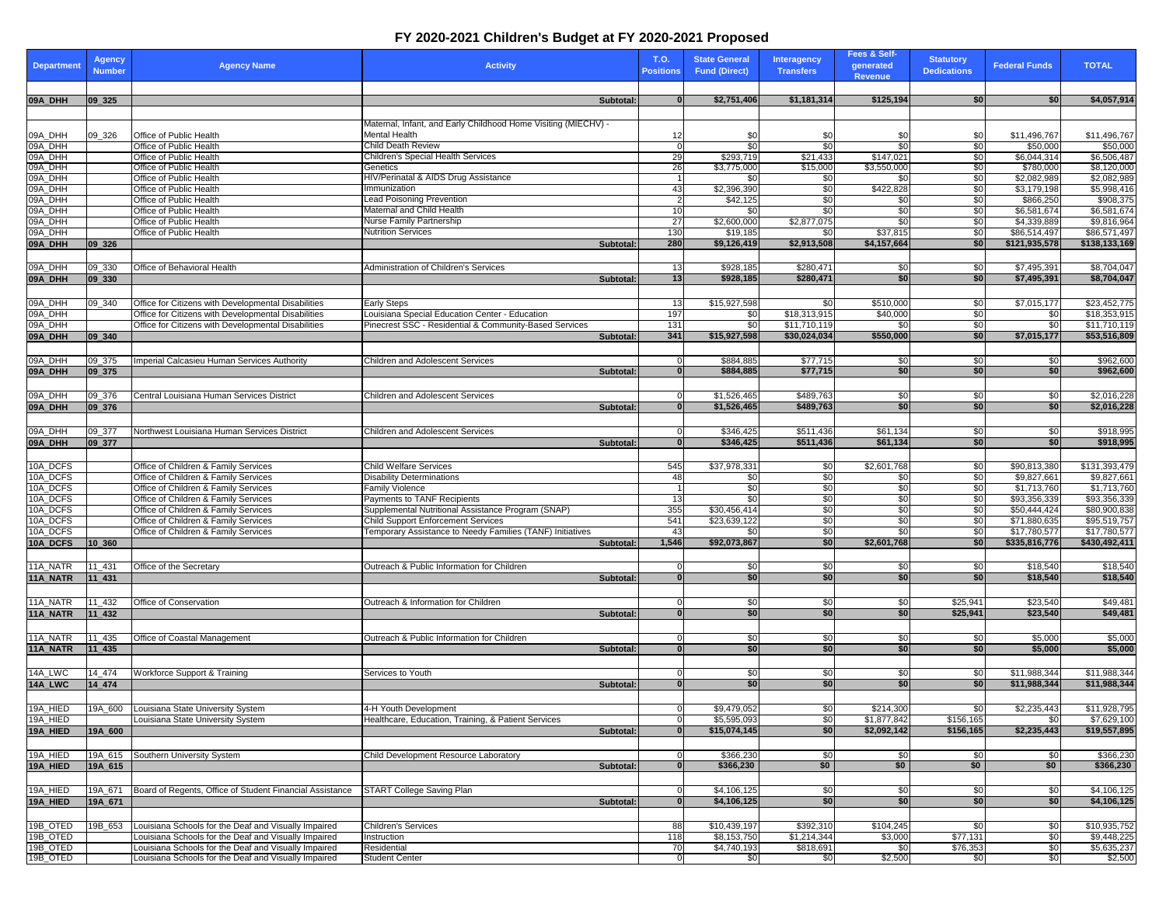## **FY 2020-2021 Children's Budget at FY 2020-2021 Proposed**

| Department           | Agency<br><b>Number</b> | <b>Agency Name</b>                                                           | <b>Activity</b>                                                                                 |                 | T.O.<br><b>Positions</b> | <b>State General</b><br><b>Fund (Direct)</b> | <b>Interagency</b><br><b>Transfers</b> | Fees & Self-<br>generated<br><b>Revenue</b> | <b>Statutory</b><br><b>Dedications</b> | <b>Federal Funds</b>          | <b>TOTAL</b>                  |
|----------------------|-------------------------|------------------------------------------------------------------------------|-------------------------------------------------------------------------------------------------|-----------------|--------------------------|----------------------------------------------|----------------------------------------|---------------------------------------------|----------------------------------------|-------------------------------|-------------------------------|
|                      |                         |                                                                              |                                                                                                 |                 |                          |                                              |                                        |                                             |                                        |                               |                               |
| 09A_DHH              | 09_325                  |                                                                              |                                                                                                 | Subtotal:       | $\bf{0}$                 | \$2,751,406                                  | \$1,181,314                            | \$125,194                                   | \$0                                    | \$0                           | \$4,057,914                   |
|                      |                         |                                                                              | Maternal, Infant, and Early Childhood Home Visiting (MIECHV) -                                  |                 |                          |                                              |                                        |                                             |                                        |                               |                               |
| 09A_DHH              | 09_326                  | Office of Public Health                                                      | Mental Health                                                                                   |                 | 12                       | \$0                                          | \$0                                    | \$0                                         | \$0                                    | \$11,496,767                  | \$11,496,767                  |
| 09A_DHH              |                         | Office of Public Health                                                      | Child Death Review                                                                              |                 |                          | \$0                                          | \$0                                    | \$0                                         | \$0                                    | \$50,000                      | \$50,000                      |
| 09A_DHH              |                         | Office of Public Health                                                      | Children's Special Health Services                                                              |                 | 29                       | \$293,719                                    | \$21,433                               | \$147,021                                   | \$0                                    | \$6,044,314                   | \$6,506,487                   |
| 09A_DHH<br>09A_DHH   |                         | Office of Public Health<br>Office of Public Health                           | Genetics<br>HIV/Perinatal & AIDS Drug Assistance                                                |                 | 26                       | \$3,775,000                                  | \$15,000<br>\$0                        | \$3,550,000                                 | \$0<br>\$0                             | \$780,000<br>\$2,082,989      | \$8,120,000<br>\$2,082,989    |
| 09A_DHH              |                         | Office of Public Health                                                      | Immunization                                                                                    |                 | 43                       | \$0<br>\$2,396,390                           | \$0                                    | \$0<br>\$422,828                            | \$0                                    | \$3,179,198                   | \$5,998,416                   |
| 09A_DHH              |                         | Office of Public Health                                                      | Lead Poisoning Prevention                                                                       |                 |                          | \$42,125                                     | \$0                                    | \$0                                         | \$0                                    | \$866,250                     | \$908,375                     |
| 09A_DHH              |                         | Office of Public Health                                                      | Maternal and Child Health                                                                       |                 | 10                       | \$0                                          | \$0                                    | \$0                                         | \$0                                    | \$6,581,674                   | \$6,581,674                   |
| 09A DHH              |                         | Office of Public Health                                                      | Nurse Family Partnership                                                                        |                 | 27                       | \$2,600,000                                  | \$2,877,075                            | \$0                                         | \$0                                    | \$4,339,889                   | \$9,816,964                   |
| 09A_DHH<br>09A_DHH   | 09_326                  | Office of Public Health                                                      | <b>Nutrition Services</b>                                                                       | Subtotal:       | 130<br>280               | \$19,185<br>\$9,126,419                      | \$0<br>\$2,913,508                     | \$37,815<br>\$4,157,664                     | \$0<br>\$0                             | \$86,514,497<br>\$121,935,578 | \$86,571,497<br>\$138,133,169 |
|                      |                         |                                                                              |                                                                                                 |                 |                          |                                              |                                        |                                             |                                        |                               |                               |
| 09A_DHH              | 09_330                  | Office of Behavioral Health                                                  | Administration of Children's Services                                                           |                 | 13                       | \$928,185                                    | \$280,471                              | \$0                                         | \$0                                    | \$7,495,391                   | \$8,704,047                   |
| 09A_DHH              | 09_330                  |                                                                              |                                                                                                 | Subtotal:       | 13                       | \$928,185                                    | \$280,471                              | \$0                                         | \$0                                    | \$7,495,391                   | \$8,704,047                   |
|                      |                         |                                                                              |                                                                                                 |                 |                          |                                              |                                        |                                             |                                        |                               |                               |
| 09A_DHH              | 09 340                  | Office for Citizens with Developmental Disabilities                          | <b>Early Steps</b>                                                                              |                 | 13                       | \$15,927,598                                 | \$0                                    | \$510,000                                   | \$0                                    | \$7,015,177                   | \$23,452,775                  |
| 09A_DHH              |                         | Office for Citizens with Developmental Disabilities                          | Louisiana Special Education Center - Education                                                  |                 | 197                      | \$0                                          | \$18,313,915                           | \$40,000                                    | \$0                                    | \$0                           | \$18,353,915                  |
| 09A_DHH<br>09A_DHH   | 09_340                  | Office for Citizens with Developmental Disabilities                          | Pinecrest SSC - Residential & Community-Based Services                                          | Subtotal:       | 131<br>341               | \$0<br>\$15,927,598                          | \$11,710,119<br>\$30,024,034           | \$0<br>\$550,000                            | \$0<br>\$0                             | \$0<br>\$7,015,177            | \$11,710,119<br>\$53,516,809  |
|                      |                         |                                                                              |                                                                                                 |                 |                          |                                              |                                        |                                             |                                        |                               |                               |
| 09A_DHH              | 09_375                  | Imperial Calcasieu Human Services Authority                                  | Children and Adolescent Services                                                                |                 | 0                        | \$884,885                                    | \$77,715                               | \$0                                         | \$0                                    | \$0                           | \$962,600                     |
| 09A_DHH              | 09_375                  |                                                                              |                                                                                                 | Subtotal:       | $\mathbf{0}$             | \$884,885                                    | \$77,715                               | \$0                                         | \$0                                    | \$0                           | \$962,600                     |
|                      |                         |                                                                              |                                                                                                 |                 |                          |                                              |                                        |                                             |                                        |                               |                               |
| 09A_DHH              | 09_376                  | Central Louisiana Human Services District                                    | Children and Adolescent Services                                                                |                 |                          | \$1,526,465                                  | \$489,763                              | \$0                                         | \$0                                    | \$0                           | \$2,016,228                   |
| 09A_DHH              | 09_376                  |                                                                              |                                                                                                 | Subtotal:       | $\bf{0}$                 | \$1,526,465                                  | \$489,763                              | \$0                                         | \$0                                    | \$0                           | \$2,016,228                   |
|                      |                         |                                                                              |                                                                                                 |                 |                          |                                              |                                        |                                             |                                        |                               |                               |
| 09A_DHH              | 09_377                  | Northwest Louisiana Human Services District                                  | <b>Children and Adolescent Services</b>                                                         |                 | 0<br>$\bf{0}$            | \$346,425                                    | \$511,436                              | \$61,134                                    | \$0                                    | \$0<br>\$0                    | \$918,995                     |
| 09A_DHH              | 09_377                  |                                                                              |                                                                                                 | Subtotal:       |                          | \$346,425                                    | \$511,436                              | \$61,134                                    | \$0                                    |                               | \$918,995                     |
| 10A_DCFS             |                         | Office of Children & Family Services                                         | Child Welfare Services                                                                          |                 | 545                      | \$37,978,33                                  | \$0                                    | \$2,601,768                                 | \$0                                    | \$90,813,380                  | \$131,393,479                 |
| 10A_DCFS             |                         | Office of Children & Family Services                                         | <b>Disability Determinations</b>                                                                |                 | 48                       | \$0                                          | \$0                                    | \$0                                         | \$0                                    | \$9,827,661                   | \$9,827,661                   |
| 10A_DCFS             |                         | Office of Children & Family Services                                         | Family Violence                                                                                 |                 |                          | \$0                                          | \$0                                    | \$0                                         | \$0                                    | \$1,713,760                   | \$1,713,760                   |
| 10A_DCFS             |                         | Office of Children & Family Services                                         | Payments to TANF Recipients                                                                     |                 | 13                       | \$0                                          | \$0                                    | \$0                                         | \$0                                    | \$93,356,339                  | \$93,356,339                  |
| 10A_DCFS<br>10A DCFS |                         | Office of Children & Family Services<br>Office of Children & Family Services | Supplemental Nutritional Assistance Program (SNAP)<br><b>Child Support Enforcement Services</b> |                 | 355<br>541               | \$30,456,414<br>\$23,639,122                 | \$0<br>\$0                             | \$0<br>\$0                                  | \$0<br>\$0                             | \$50,444,424<br>\$71,880,635  | \$80,900,838<br>\$95,519,757  |
| 10A_DCFS             |                         | Office of Children & Family Services                                         | Temporary Assistance to Needy Families (TANF) Initiatives                                       |                 | 43                       | \$0                                          | \$0                                    | \$0                                         | \$0                                    | \$17,780,577                  | \$17,780,577                  |
| 10A_DCFS             | 10 360                  |                                                                              |                                                                                                 | Subtotal:       | 1,546                    | \$92,073,867                                 | \$0                                    | \$2,601,768                                 | \$0                                    | \$335,816,776                 | \$430,492,411                 |
|                      |                         |                                                                              |                                                                                                 |                 |                          |                                              |                                        |                                             |                                        |                               |                               |
| 11A_NATR             | 11_431                  | Office of the Secretary                                                      | Outreach & Public Information for Children                                                      |                 | 0                        | \$0                                          | \$0                                    | \$0                                         | \$0                                    | \$18,540                      | \$18,540                      |
| 11A_NATR             | 11_431                  |                                                                              |                                                                                                 | Subtotal:       | $\Omega$                 | \$0                                          | \$0                                    | \$0                                         | \$0                                    | \$18,540                      | \$18,540                      |
|                      |                         |                                                                              |                                                                                                 |                 |                          |                                              |                                        |                                             |                                        |                               |                               |
| 11A_NATR<br>11A_NATR | 11_432<br>11_432        | Office of Conservation                                                       | Outreach & Information for Children                                                             | Subtotal:       | 0                        | \$0<br>\$0                                   | \$0<br>\$0                             | \$0<br>\$0                                  | \$25,941<br>\$25,941                   | \$23,540<br>\$23,540          | \$49,481<br>\$49,481          |
|                      |                         |                                                                              |                                                                                                 |                 |                          |                                              |                                        |                                             |                                        |                               |                               |
| 11A_NATR             | 11_435                  | Office of Coastal Management                                                 | Outreach & Public Information for Children                                                      |                 | $\Omega$                 | \$0                                          | \$0                                    | \$0                                         | \$0                                    | \$5,000                       | \$5,000                       |
| 11A_NATR             | 11_435                  |                                                                              |                                                                                                 | Subtotal:       |                          | \$0                                          | \$0                                    | \$0                                         | \$0                                    | \$5,000                       | \$5,000                       |
|                      |                         |                                                                              |                                                                                                 |                 |                          |                                              |                                        |                                             |                                        |                               |                               |
| 14A_LWC              | 14_474                  | Workforce Support & Training                                                 | Services to Youth                                                                               |                 | $\Omega$                 | \$0                                          | \$0                                    | \$0                                         | \$0                                    | \$11,988,344                  | \$11,988,344                  |
| 14A_LWC              | 14_474                  |                                                                              |                                                                                                 | Subtotal:       | $\bf{0}$                 | \$0                                          | \$0                                    | \$0                                         | \$0                                    | \$11,988,344                  | \$11,988,344                  |
|                      |                         |                                                                              |                                                                                                 |                 |                          |                                              |                                        |                                             |                                        | \$2,235,443                   |                               |
| 19A HIED<br>19A HIED |                         | 19A 600 Louisiana State University System                                    | 4-H Youth Development<br>Healthcare, Education, Training, & Patient Services                    |                 | 0                        | \$9,479,052<br>\$5,595,093                   | \$0<br>\$0                             | \$214,300<br>\$1,877,842                    | \$0<br>\$156,165                       | \$0                           | \$11,928,795<br>\$7,629,100   |
| 19A HIED             | 19A 600                 | Louisiana State University System                                            |                                                                                                 | <b>Subtotal</b> | $\bf{0}$                 | \$15,074,145                                 | \$0                                    | \$2,092,142                                 | \$156,165                              | \$2,235,443                   | \$19,557,895                  |
|                      |                         |                                                                              |                                                                                                 |                 |                          |                                              |                                        |                                             |                                        |                               |                               |
| 19A_HIED             |                         | 19A_615 Southern University System                                           | Child Development Resource Laboratory                                                           |                 | 0                        | \$366,230                                    | \$0                                    | \$0                                         | \$0                                    | \$0                           | \$366.230                     |
| 19A_HIED             | 19A_615                 |                                                                              |                                                                                                 | Subtotal:       | $\mathbf{0}$             | \$366,230                                    | \$0                                    | \$0                                         | \$0                                    | \$0                           | \$366,230                     |
|                      |                         |                                                                              |                                                                                                 |                 |                          |                                              |                                        |                                             |                                        |                               |                               |
| 19A HIED             | 19A 671                 | Board of Regents, Office of Student Financial Assistance                     | START College Saving Plan                                                                       |                 | 0                        | \$4,106,125                                  | \$0                                    | \$0                                         | \$0                                    | \$0                           | \$4,106,125                   |
| 19A_HIED             | 19A 671                 |                                                                              |                                                                                                 | Subtotal:       | $\mathbf{0}$             | \$4,106,125                                  | \$0                                    | \$0                                         | \$0                                    | \$0                           | \$4,106,125                   |
|                      |                         | Louisiana Schools for the Deaf and Visually Impaired                         |                                                                                                 |                 |                          |                                              |                                        |                                             |                                        |                               |                               |
| 19B_OTED<br>19B_OTED | 19B 653                 | Louisiana Schools for the Deaf and Visually Impaired                         | Children's Services<br>Instruction                                                              |                 | 88<br>118                | \$10,439,197<br>\$8,153,750                  | \$392,310<br>\$1,214,344               | \$104,245<br>\$3,000                        | \$0<br>\$77,131                        | \$0<br>\$0                    | \$10,935,752<br>\$9,448,225   |
| 19B_OTED             |                         | Louisiana Schools for the Deaf and Visually Impaired                         | Residential                                                                                     |                 | 70                       | \$4,740,193                                  | \$818,691                              | \$0                                         | \$76,353                               | \$0                           | \$5,635,237                   |
| 19B_OTED             |                         | Louisiana Schools for the Deaf and Visually Impaired                         | <b>Student Center</b>                                                                           |                 | 0                        | \$0                                          | \$0                                    | \$2,500                                     | \$0                                    | \$0                           | \$2,500                       |